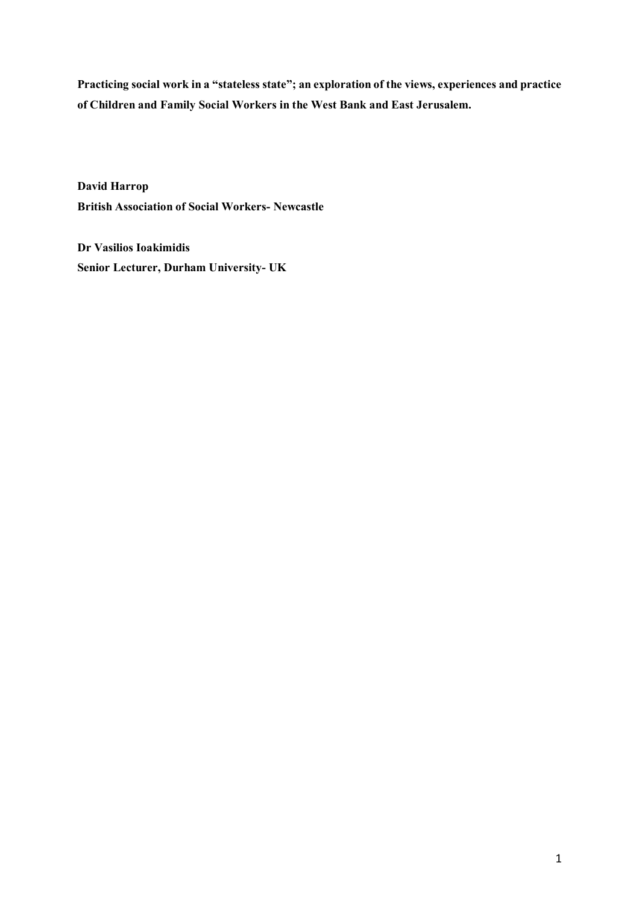Practicing social work in a "stateless state"; an exploration of the views, experiences and practice of Children and Family Social Workers in the West Bank and East Jerusalem.

David Harrop British Association of Social Workers- Newcastle

Dr Vasilios Ioakimidis Senior Lecturer, Durham University- UK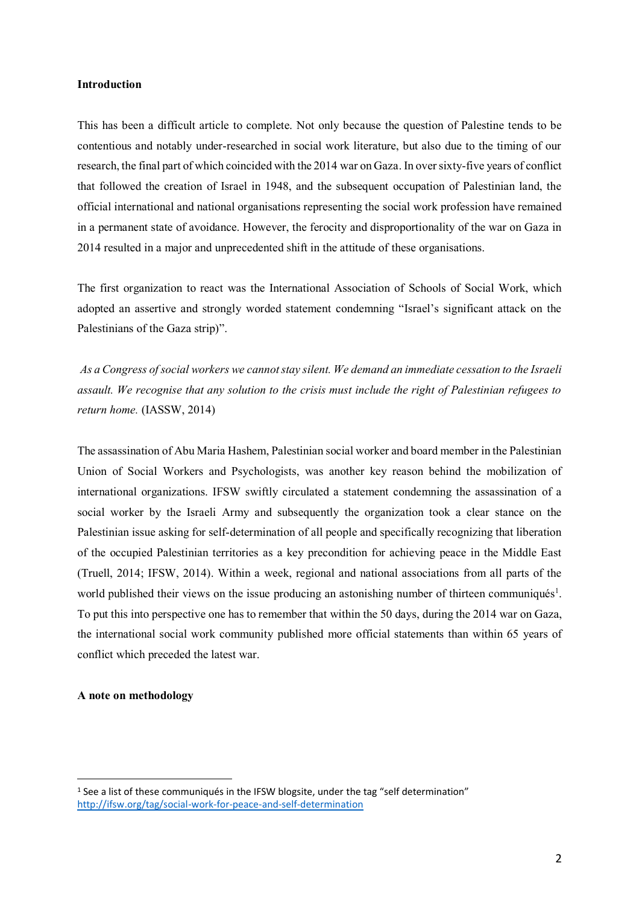#### Introduction

This has been a difficult article to complete. Not only because the question of Palestine tends to be contentious and notably under-researched in social work literature, but also due to the timing of our research, the final part of which coincided with the 2014 war on Gaza. In over sixty-five years of conflict that followed the creation of Israel in 1948, and the subsequent occupation of Palestinian land, the official international and national organisations representing the social work profession have remained in a permanent state of avoidance. However, the ferocity and disproportionality of the war on Gaza in 2014 resulted in a major and unprecedented shift in the attitude of these organisations.

The first organization to react was the International Association of Schools of Social Work, which adopted an assertive and strongly worded statement condemning "Israel's significant attack on the Palestinians of the Gaza strip)".

*As a Congress of social workers we cannot stay silent. We demand an immediate cessation to the Israeli assault. We recognise that any solution to the crisis must include the right of Palestinian refugees to return home.* (IASSW, 2014)

The assassination of Abu Maria Hashem, Palestinian social worker and board member in the Palestinian Union of Social Workers and Psychologists, was another key reason behind the mobilization of international organizations. IFSW swiftly circulated a statement condemning the assassination of a social worker by the Israeli Army and subsequently the organization took a clear stance on the Palestinian issue asking for self-determination of all people and specifically recognizing that liberation of the occupied Palestinian territories as a key precondition for achieving peace in the Middle East (Truell, 2014; IFSW, 2014). Within a week, regional and national associations from all parts of the world published their views on the issue producing an astonishing number of thirteen communiqués<sup>1</sup>. To put this into perspective one has to remember that within the 50 days, during the 2014 war on Gaza, the international social work community published more official statements than within 65 years of conflict which preceded the latest war.

## A note on methodology

 $\overline{a}$ 

<sup>&</sup>lt;sup>1</sup> See a list of these communiqués in the IFSW blogsite, under the tag "self determination" <http://ifsw.org/tag/social-work-for-peace-and-self-determination>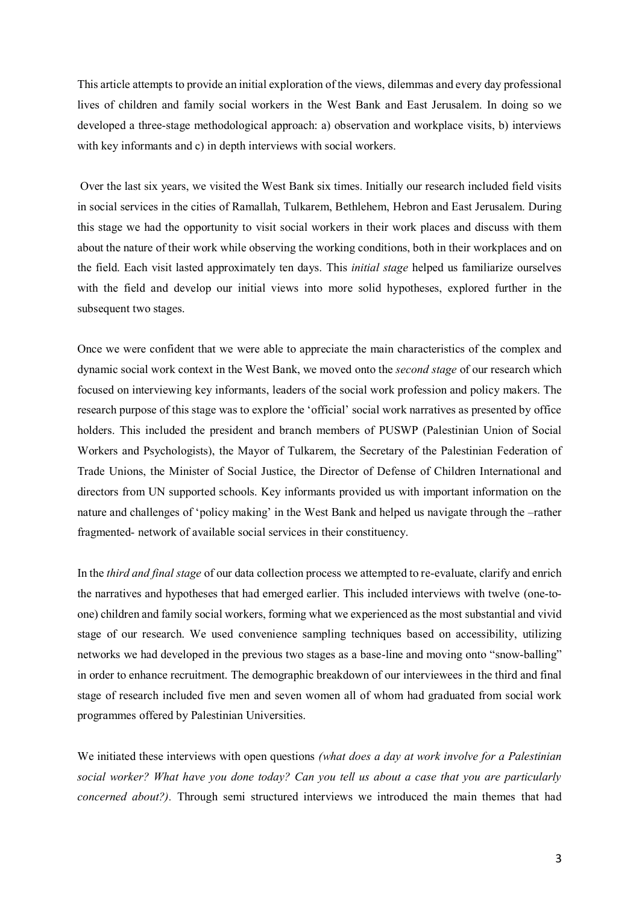This article attempts to provide an initial exploration of the views, dilemmas and every day professional lives of children and family social workers in the West Bank and East Jerusalem. In doing so we developed a three-stage methodological approach: a) observation and workplace visits, b) interviews with key informants and c) in depth interviews with social workers.

Over the last six years, we visited the West Bank six times. Initially our research included field visits in social services in the cities of Ramallah, Tulkarem, Bethlehem, Hebron and East Jerusalem. During this stage we had the opportunity to visit social workers in their work places and discuss with them about the nature of their work while observing the working conditions, both in their workplaces and on the field. Each visit lasted approximately ten days. This *initial stage* helped us familiarize ourselves with the field and develop our initial views into more solid hypotheses, explored further in the subsequent two stages.

Once we were confident that we were able to appreciate the main characteristics of the complex and dynamic social work context in the West Bank, we moved onto the *second stage* of our research which focused on interviewing key informants, leaders of the social work profession and policy makers. The research purpose of this stage was to explore the 'official' social work narratives as presented by office holders. This included the president and branch members of PUSWP (Palestinian Union of Social Workers and Psychologists), the Mayor of Tulkarem, the Secretary of the Palestinian Federation of Trade Unions, the Minister of Social Justice, the Director of Defense of Children International and directors from UN supported schools. Key informants provided us with important information on the nature and challenges of 'policy making' in the West Bank and helped us navigate through the –rather fragmented- network of available social services in their constituency.

In the *third and final stage* of our data collection process we attempted to re-evaluate, clarify and enrich the narratives and hypotheses that had emerged earlier. This included interviews with twelve (one-toone) children and family social workers, forming what we experienced as the most substantial and vivid stage of our research. We used convenience sampling techniques based on accessibility, utilizing networks we had developed in the previous two stages as a base-line and moving onto "snow-balling" in order to enhance recruitment. The demographic breakdown of our interviewees in the third and final stage of research included five men and seven women all of whom had graduated from social work programmes offered by Palestinian Universities.

We initiated these interviews with open questions *(what does a day at work involve for a Palestinian social worker? What have you done today? Can you tell us about a case that you are particularly concerned about?).* Through semi structured interviews we introduced the main themes that had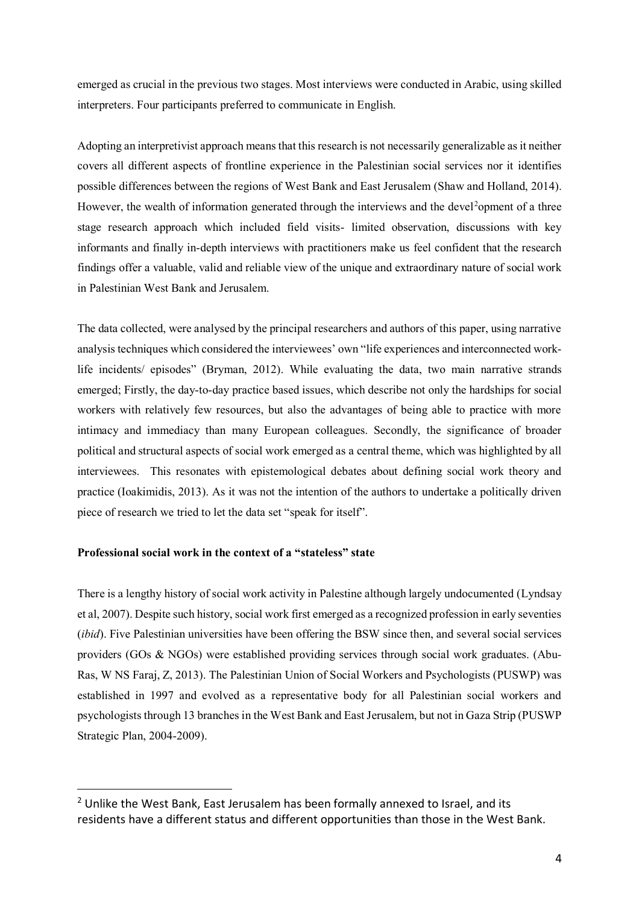emerged as crucial in the previous two stages. Most interviews were conducted in Arabic, using skilled interpreters. Four participants preferred to communicate in English.

Adopting an interpretivist approach means that this research is not necessarily generalizable as it neither covers all different aspects of frontline experience in the Palestinian social services nor it identifies possible differences between the regions of West Bank and East Jerusalem (Shaw and Holland, 2014). However, the wealth of information generated through the interviews and the devel<sup>2</sup>opment of a three stage research approach which included field visits- limited observation, discussions with key informants and finally in-depth interviews with practitioners make us feel confident that the research findings offer a valuable, valid and reliable view of the unique and extraordinary nature of social work in Palestinian West Bank and Jerusalem.

The data collected, were analysed by the principal researchers and authors of this paper, using narrative analysis techniques which considered the interviewees' own "life experiences and interconnected worklife incidents/ episodes" (Bryman, 2012). While evaluating the data, two main narrative strands emerged; Firstly, the day-to-day practice based issues, which describe not only the hardships for social workers with relatively few resources, but also the advantages of being able to practice with more intimacy and immediacy than many European colleagues. Secondly, the significance of broader political and structural aspects of social work emerged as a central theme, which was highlighted by all interviewees. This resonates with epistemological debates about defining social work theory and practice (Ioakimidis, 2013). As it was not the intention of the authors to undertake a politically driven piece of research we tried to let the data set "speak for itself".

# Professional social work in the context of a "stateless" state

 $\overline{a}$ 

There is a lengthy history of social work activity in Palestine although largely undocumented (Lyndsay et al, 2007). Despite such history, social work first emerged as a recognized profession in early seventies (*ibid*). Five Palestinian universities have been offering the BSW since then, and several social services providers (GOs & NGOs) were established providing services through social work graduates. (Abu-Ras, W NS Faraj, Z, 2013). The Palestinian Union of Social Workers and Psychologists (PUSWP) was established in 1997 and evolved as a representative body for all Palestinian social workers and psychologists through 13 branches in the West Bank and East Jerusalem, but not in Gaza Strip (PUSWP Strategic Plan, 2004-2009).

<sup>&</sup>lt;sup>2</sup> Unlike the West Bank, East Jerusalem has been formally annexed to Israel, and its residents have a different status and different opportunities than those in the West Bank.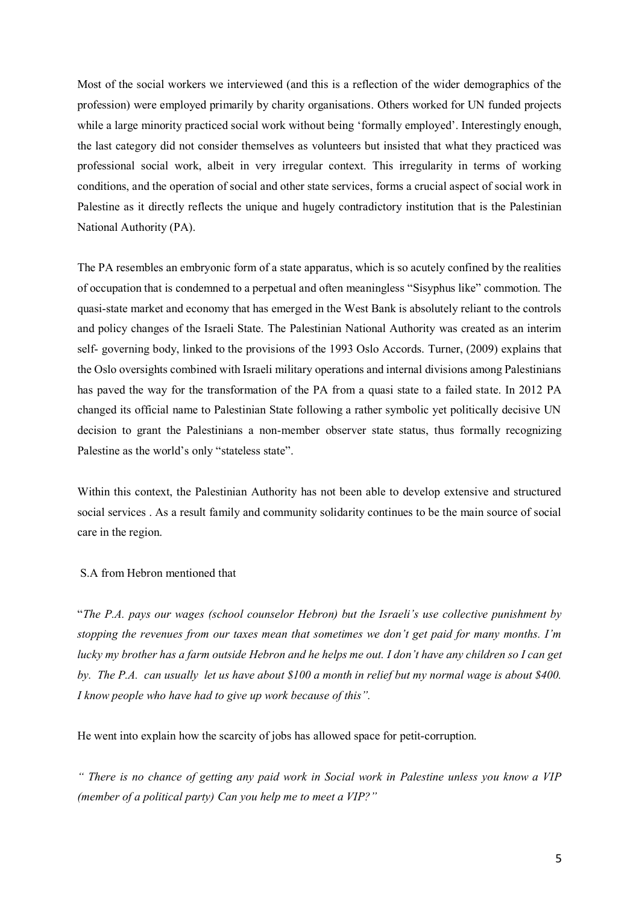Most of the social workers we interviewed (and this is a reflection of the wider demographics of the profession) were employed primarily by charity organisations. Others worked for UN funded projects while a large minority practiced social work without being 'formally employed'. Interestingly enough, the last category did not consider themselves as volunteers but insisted that what they practiced was professional social work, albeit in very irregular context. This irregularity in terms of working conditions, and the operation of social and other state services, forms a crucial aspect of social work in Palestine as it directly reflects the unique and hugely contradictory institution that is the Palestinian National Authority (PA).

The PA resembles an embryonic form of a state apparatus, which is so acutely confined by the realities of occupation that is condemned to a perpetual and often meaningless "Sisyphus like" commotion. The quasi-state market and economy that has emerged in the West Bank is absolutely reliant to the controls and policy changes of the Israeli State. The Palestinian National Authority was created as an interim self- governing body, linked to the provisions of the 1993 Oslo Accords. Turner, (2009) explains that the Oslo oversights combined with Israeli military operations and internal divisions among Palestinians has paved the way for the transformation of the PA from a quasi state to a failed state. In 2012 PA changed its official name to Palestinian State following a rather symbolic yet politically decisive UN decision to grant the Palestinians a non-member observer state status, thus formally recognizing Palestine as the world's only "stateless state".

Within this context, the Palestinian Authority has not been able to develop extensive and structured social services . As a result family and community solidarity continues to be the main source of social care in the region.

## S.A from Hebron mentioned that

"*The P.A. pays our wages (school counselor Hebron) but the Israeli's use collective punishment by stopping the revenues from our taxes mean that sometimes we don't get paid for many months. I'm lucky my brother has a farm outside Hebron and he helps me out. I don't have any children so I can get by. The P.A. can usually let us have about \$100 a month in relief but my normal wage is about \$400. I know people who have had to give up work because of this".* 

He went into explain how the scarcity of jobs has allowed space for petit-corruption.

*" There is no chance of getting any paid work in Social work in Palestine unless you know a VIP (member of a political party) Can you help me to meet a VIP?"*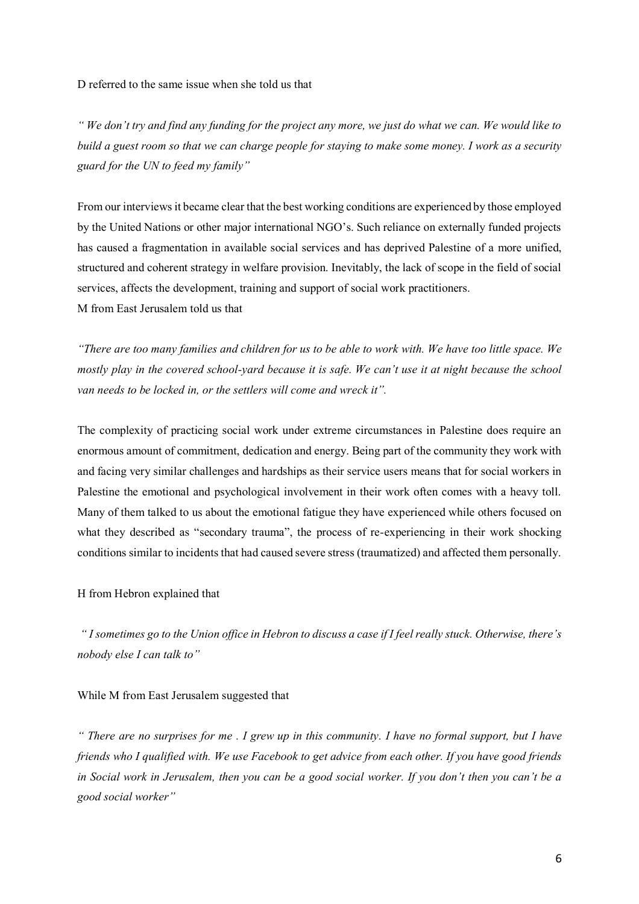#### D referred to the same issue when she told us that

*" We don't try and find any funding for the project any more, we just do what we can. We would like to build a guest room so that we can charge people for staying to make some money. I work as a security guard for the UN to feed my family"*

From our interviews it became clear that the best working conditions are experienced by those employed by the United Nations or other major international NGO's. Such reliance on externally funded projects has caused a fragmentation in available social services and has deprived Palestine of a more unified, structured and coherent strategy in welfare provision. Inevitably, the lack of scope in the field of social services, affects the development, training and support of social work practitioners. M from East Jerusalem told us that

*"There are too many families and children for us to be able to work with. We have too little space. We mostly play in the covered school-yard because it is safe. We can't use it at night because the school van needs to be locked in, or the settlers will come and wreck it".*

The complexity of practicing social work under extreme circumstances in Palestine does require an enormous amount of commitment, dedication and energy. Being part of the community they work with and facing very similar challenges and hardships as their service users means that for social workers in Palestine the emotional and psychological involvement in their work often comes with a heavy toll. Many of them talked to us about the emotional fatigue they have experienced while others focused on what they described as "secondary trauma", the process of re-experiencing in their work shocking conditions similar to incidents that had caused severe stress (traumatized) and affected them personally.

### H from Hebron explained that

*" I sometimes go to the Union office in Hebron to discuss a case if I feel really stuck. Otherwise, there's nobody else I can talk to"* 

#### While M from East Jerusalem suggested that

*" There are no surprises for me . I grew up in this community. I have no formal support, but I have friends who I qualified with. We use Facebook to get advice from each other. If you have good friends in Social work in Jerusalem, then you can be a good social worker. If you don't then you can't be a good social worker"*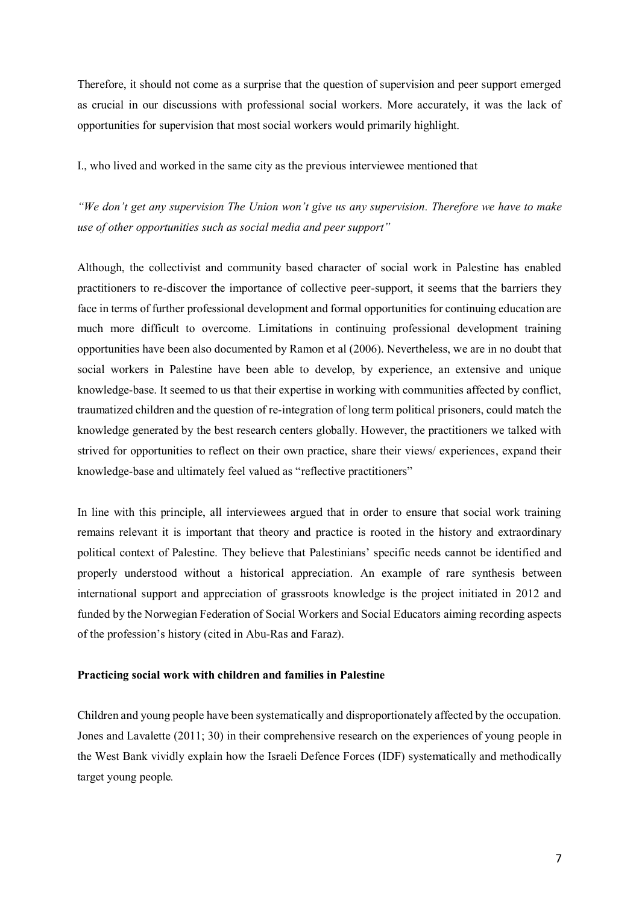Therefore, it should not come as a surprise that the question of supervision and peer support emerged as crucial in our discussions with professional social workers. More accurately, it was the lack of opportunities for supervision that most social workers would primarily highlight.

I., who lived and worked in the same city as the previous interviewee mentioned that

*"We don't get any supervision The Union won't give us any supervision. Therefore we have to make use of other opportunities such as social media and peer support"*

Although, the collectivist and community based character of social work in Palestine has enabled practitioners to re-discover the importance of collective peer-support, it seems that the barriers they face in terms of further professional development and formal opportunities for continuing education are much more difficult to overcome. Limitations in continuing professional development training opportunities have been also documented by Ramon et al (2006). Nevertheless, we are in no doubt that social workers in Palestine have been able to develop, by experience, an extensive and unique knowledge-base. It seemed to us that their expertise in working with communities affected by conflict, traumatized children and the question of re-integration of long term political prisoners, could match the knowledge generated by the best research centers globally. However, the practitioners we talked with strived for opportunities to reflect on their own practice, share their views/ experiences, expand their knowledge-base and ultimately feel valued as "reflective practitioners"

In line with this principle, all interviewees argued that in order to ensure that social work training remains relevant it is important that theory and practice is rooted in the history and extraordinary political context of Palestine. They believe that Palestinians' specific needs cannot be identified and properly understood without a historical appreciation. An example of rare synthesis between international support and appreciation of grassroots knowledge is the project initiated in 2012 and funded by the Norwegian Federation of Social Workers and Social Educators aiming recording aspects of the profession's history (cited in Abu-Ras and Faraz).

# Practicing social work with children and families in Palestine

Children and young people have been systematically and disproportionately affected by the occupation. Jones and Lavalette (2011; 30) in their comprehensive research on the experiences of young people in the West Bank vividly explain how the Israeli Defence Forces (IDF) systematically and methodically target young people*.*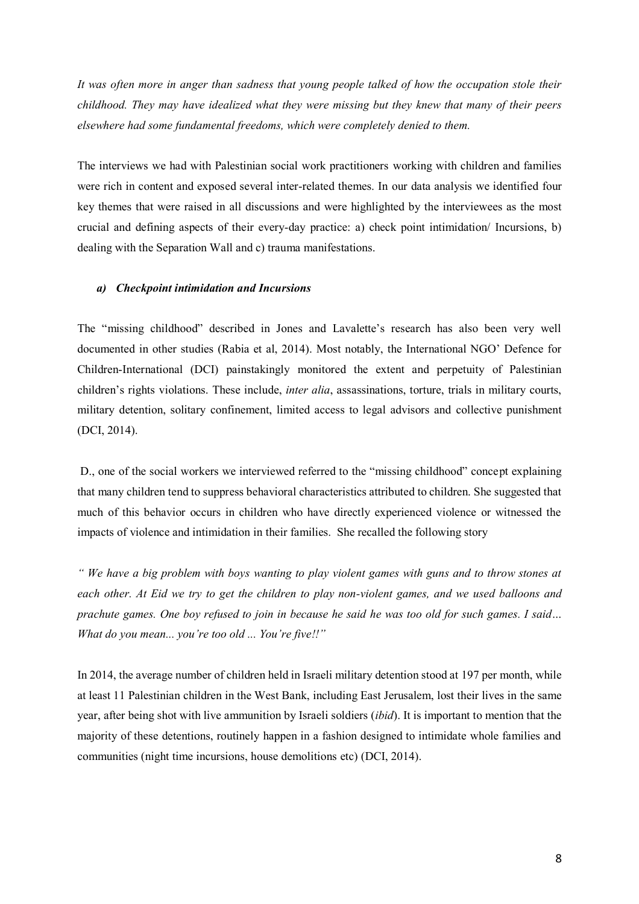*It was often more in anger than sadness that young people talked of how the occupation stole their childhood. They may have idealized what they were missing but they knew that many of their peers elsewhere had some fundamental freedoms, which were completely denied to them.*

The interviews we had with Palestinian social work practitioners working with children and families were rich in content and exposed several inter-related themes. In our data analysis we identified four key themes that were raised in all discussions and were highlighted by the interviewees as the most crucial and defining aspects of their every-day practice: a) check point intimidation/ Incursions, b) dealing with the Separation Wall and c) trauma manifestations.

### *a) Checkpoint intimidation and Incursions*

The "missing childhood" described in Jones and Lavalette's research has also been very well documented in other studies (Rabia et al, 2014). Most notably, the International NGO' Defence for Children-International (DCI) painstakingly monitored the extent and perpetuity of Palestinian children's rights violations. These include, *inter alia*, assassinations, torture, trials in military courts, military detention, solitary confinement, limited access to legal advisors and collective punishment (DCI, 2014).

D., one of the social workers we interviewed referred to the "missing childhood" concept explaining that many children tend to suppress behavioral characteristics attributed to children. She suggested that much of this behavior occurs in children who have directly experienced violence or witnessed the impacts of violence and intimidation in their families. She recalled the following story

*" We have a big problem with boys wanting to play violent games with guns and to throw stones at each other. At Eid we try to get the children to play non-violent games, and we used balloons and prachute games. One boy refused to join in because he said he was too old for such games. I said… What do you mean... you're too old ... You're five!!"*

In 2014, the average number of children held in Israeli military detention stood at [197 per month,](http://www.dci-palestine.org/content/child-detainees) while at least 11 Palestinian children in the West Bank, including East Jerusalem, lost their lives in the same year, after being shot with live ammunition by Israeli soldiers (*ibid*). It is important to mention that the majority of these detentions, routinely happen in a fashion designed to intimidate whole families and communities (night time incursions, house demolitions etc) (DCI, 2014).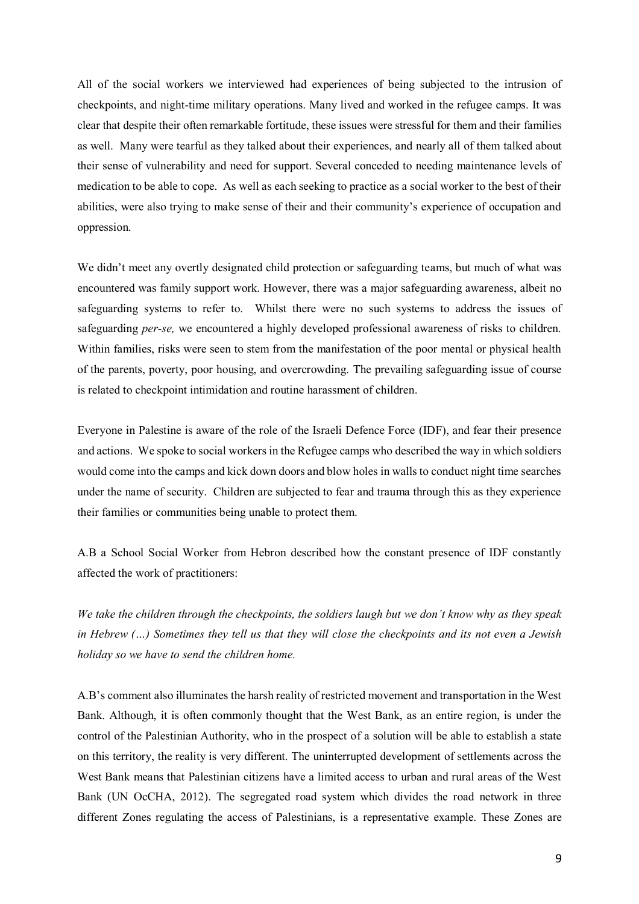All of the social workers we interviewed had experiences of being subjected to the intrusion of checkpoints, and night-time military operations. Many lived and worked in the refugee camps. It was clear that despite their often remarkable fortitude, these issues were stressful for them and their families as well. Many were tearful as they talked about their experiences, and nearly all of them talked about their sense of vulnerability and need for support. Several conceded to needing maintenance levels of medication to be able to cope. As well as each seeking to practice as a social worker to the best of their abilities, were also trying to make sense of their and their community's experience of occupation and oppression.

We didn't meet any overtly designated child protection or safeguarding teams, but much of what was encountered was family support work. However, there was a major safeguarding awareness, albeit no safeguarding systems to refer to. Whilst there were no such systems to address the issues of safeguarding *per-se,* we encountered a highly developed professional awareness of risks to children. Within families, risks were seen to stem from the manifestation of the poor mental or physical health of the parents, poverty, poor housing, and overcrowding. The prevailing safeguarding issue of course is related to checkpoint intimidation and routine harassment of children.

Everyone in Palestine is aware of the role of the Israeli Defence Force (IDF), and fear their presence and actions. We spoke to social workers in the Refugee camps who described the way in which soldiers would come into the camps and kick down doors and blow holes in walls to conduct night time searches under the name of security. Children are subjected to fear and trauma through this as they experience their families or communities being unable to protect them.

A.B a School Social Worker from Hebron described how the constant presence of IDF constantly affected the work of practitioners:

*We take the children through the checkpoints, the soldiers laugh but we don't know why as they speak in Hebrew (…) Sometimes they tell us that they will close the checkpoints and its not even a Jewish holiday so we have to send the children home.*

A.B's comment also illuminates the harsh reality of restricted movement and transportation in the West Bank. Although, it is often commonly thought that the West Bank, as an entire region, is under the control of the Palestinian Authority, who in the prospect of a solution will be able to establish a state on this territory, the reality is very different. The uninterrupted development of settlements across the West Bank means that Palestinian citizens have a limited access to urban and rural areas of the West Bank (UN OcCHA, 2012). The segregated road system which divides the road network in three different Zones regulating the access of Palestinians, is a representative example. These Zones are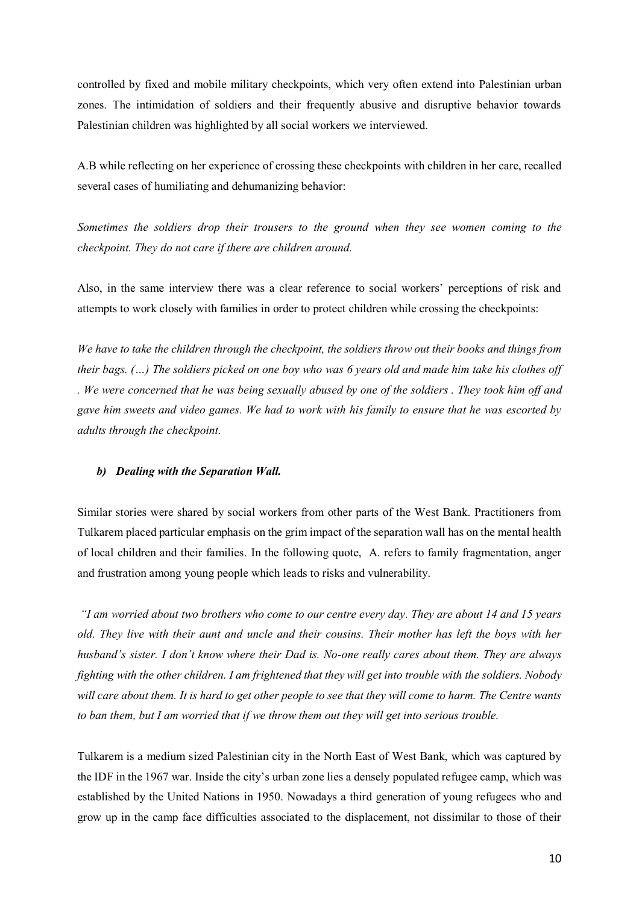controlled by fixed and mobile military checkpoints, which very often extend into Palestinian urban zones. The intimidation of soldiers and their frequently abusive and disruptive behavior towards Palestinian children was highlighted by all social workers we interviewed.

A.B while reflecting on her experience of crossing these checkpoints with children in her care, recalled several cases of humiliating and dehumanizing behavior:

*Sometimes the soldiers drop their trousers to the ground when they see women coming to the checkpoint. They do not care if there are children around.*

Also, in the same interview there was a clear reference to social workers' perceptions of risk and attempts to work closely with families in order to protect children while crossing the checkpoints:

*We have to take the children through the checkpoint, the soldiers throw out their books and things from their bags. (…) The soldiers picked on one boy who was 6 years old and made him take his clothes off . We were concerned that he was being sexually abused by one of the soldiers . They took him off and gave him sweets and video games. We had to work with his family to ensure that he was escorted by adults through the checkpoint.*

#### *b) Dealing with the Separation Wall.*

Similar stories were shared by social workers from other parts of the West Bank. Practitioners from Tulkarem placed particular emphasis on the grim impact of the separation wall has on the mental health of local children and their families. In the following quote, A. refers to family fragmentation, anger and frustration among young people which leads to risks and vulnerability.

*"I am worried about two brothers who come to our centre every day. They are about 14 and 15 years old. They live with their aunt and uncle and their cousins. Their mother has left the boys with her husband's sister. I don't know where their Dad is. No-one really cares about them. They are always fighting with the other children. I am frightened that they will get into trouble with the soldiers. Nobody will care about them. It is hard to get other people to see that they will come to harm. The Centre wants to ban them, but I am worried that if we throw them out they will get into serious trouble.*

Tulkarem is a medium sized Palestinian city in the North East of West Bank, which was captured by the IDF in the 1967 war. Inside the city's urban zone lies a densely populated refugee camp, which was established by the United Nations in 1950. Nowadays a third generation of young refugees who and grow up in the camp face difficulties associated to the displacement, not dissimilar to those of their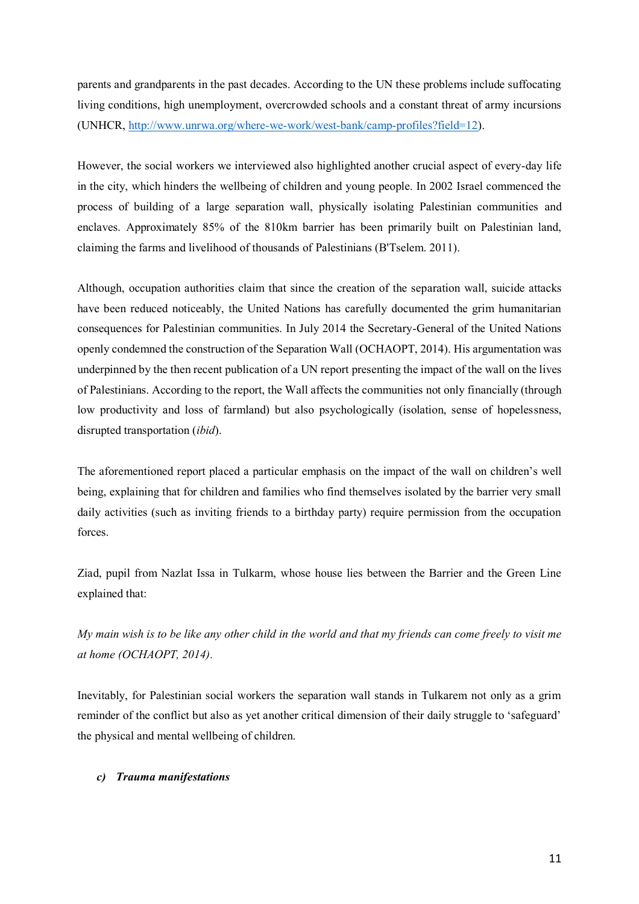parents and grandparents in the past decades. According to the UN these problems include suffocating living conditions, high unemployment, overcrowded schools and a constant threat of army incursions (UNHCR, [http://www.unrwa.org/where-we-work/west-bank/camp-profiles?field=12\)](http://www.unrwa.org/where-we-work/west-bank/camp-profiles?field=12).

However, the social workers we interviewed also highlighted another crucial aspect of every-day life in the city, which hinders the wellbeing of children and young people. In 2002 Israel commenced the process of building of a large separation wall, physically isolating Palestinian communities and enclaves. Approximately 85% of the 810km barrier has been primarily built on Palestinian land, claiming the farms and livelihood of thousands of Palestinians (B'Tselem. 2011).

Although, occupation authorities claim that since the creation of the separation wall, suicide attacks have been reduced noticeably, the United Nations has carefully documented the grim humanitarian consequences for Palestinian communities. In July 2014 the Secretary-General of the United Nations openly condemned the construction of the Separation Wall (OCHAOPT, 2014). His argumentation was underpinned by the then recent publication of a UN report presenting the impact of the wall on the lives of Palestinians. According to the report, the Wall affects the communities not only financially (through low productivity and loss of farmland) but also psychologically (isolation, sense of hopelessness, disrupted transportation (*ibid*).

The aforementioned report placed a particular emphasis on the impact of the wall on children's well being, explaining that for children and families who find themselves isolated by the barrier very small daily activities (such as inviting friends to a birthday party) require permission from the occupation forces.

Ziad, pupil from Nazlat Issa in Tulkarm, whose house lies between the Barrier and the Green Line explained that:

*My main wish is to be like any other child in the world and that my friends can come freely to visit me at home (OCHAOPT, 2014).*

Inevitably, for Palestinian social workers the separation wall stands in Tulkarem not only as a grim reminder of the conflict but also as yet another critical dimension of their daily struggle to 'safeguard' the physical and mental wellbeing of children.

## *c) Trauma manifestations*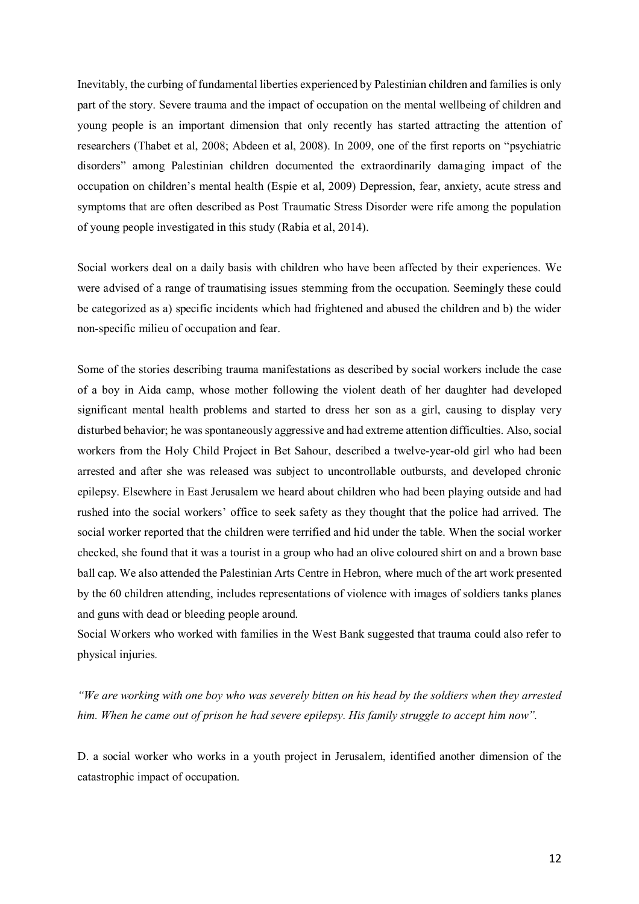Inevitably, the curbing of fundamental liberties experienced by Palestinian children and families is only part of the story. Severe trauma and the impact of occupation on the mental wellbeing of children and young people is an important dimension that only recently has started attracting the attention of researchers (Thabet et al, 2008; Abdeen et al, 2008). In 2009, one of the first reports on "psychiatric disorders" among Palestinian children documented the extraordinarily damaging impact of the occupation on children's mental health (Espie et al, 2009) Depression, fear, anxiety, acute stress and symptoms that are often described as Post Traumatic Stress Disorder were rife among the population of young people investigated in this study (Rabia et al, 2014).

Social workers deal on a daily basis with children who have been affected by their experiences. We were advised of a range of traumatising issues stemming from the occupation. Seemingly these could be categorized as a) specific incidents which had frightened and abused the children and b) the wider non-specific milieu of occupation and fear.

Some of the stories describing trauma manifestations as described by social workers include the case of a boy in Aida camp, whose mother following the violent death of her daughter had developed significant mental health problems and started to dress her son as a girl, causing to display very disturbed behavior; he was spontaneously aggressive and had extreme attention difficulties. Also, social workers from the Holy Child Project in Bet Sahour, described a twelve-year-old girl who had been arrested and after she was released was subject to uncontrollable outbursts, and developed chronic epilepsy. Elsewhere in East Jerusalem we heard about children who had been playing outside and had rushed into the social workers' office to seek safety as they thought that the police had arrived. The social worker reported that the children were terrified and hid under the table. When the social worker checked, she found that it was a tourist in a group who had an olive coloured shirt on and a brown base ball cap. We also attended the Palestinian Arts Centre in Hebron, where much of the art work presented by the 60 children attending, includes representations of violence with images of soldiers tanks planes and guns with dead or bleeding people around.

Social Workers who worked with families in the West Bank suggested that trauma could also refer to physical injuries*.*

*"We are working with one boy who was severely bitten on his head by the soldiers when they arrested him. When he came out of prison he had severe epilepsy. His family struggle to accept him now".* 

D. a social worker who works in a youth project in Jerusalem, identified another dimension of the catastrophic impact of occupation.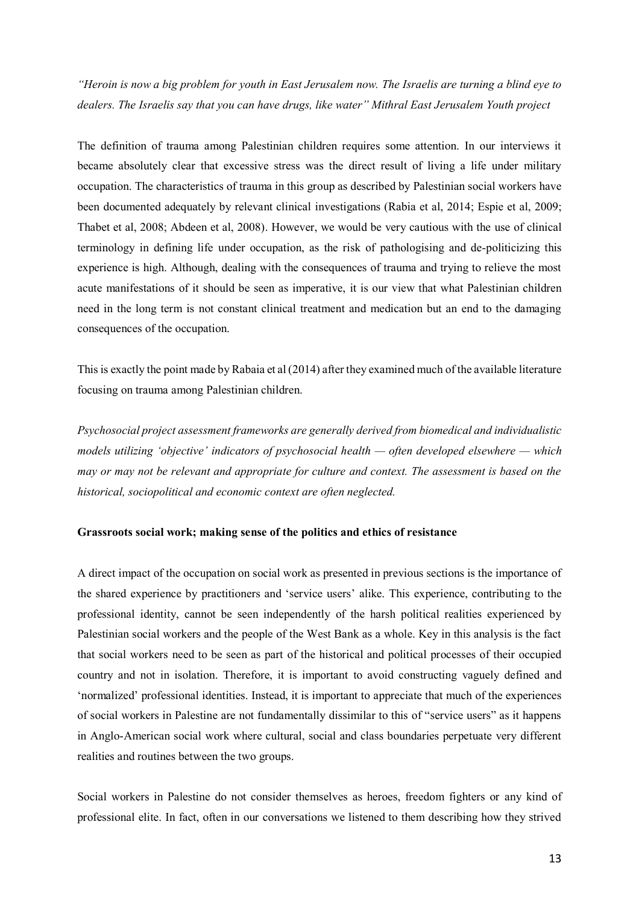*"Heroin is now a big problem for youth in East Jerusalem now. The Israelis are turning a blind eye to dealers. The Israelis say that you can have drugs, like water" Mithral East Jerusalem Youth project*

The definition of trauma among Palestinian children requires some attention. In our interviews it became absolutely clear that excessive stress was the direct result of living a life under military occupation. The characteristics of trauma in this group as described by Palestinian social workers have been documented adequately by relevant clinical investigations (Rabia et al, 2014; Espie et al, 2009; Thabet et al, 2008; Abdeen et al, 2008). However, we would be very cautious with the use of clinical terminology in defining life under occupation, as the risk of pathologising and de-politicizing this experience is high. Although, dealing with the consequences of trauma and trying to relieve the most acute manifestations of it should be seen as imperative, it is our view that what Palestinian children need in the long term is not constant clinical treatment and medication but an end to the damaging consequences of the occupation.

This is exactly the point made by Rabaia et al (2014) after they examined much of the available literature focusing on trauma among Palestinian children.

*Psychosocial project assessment frameworks are generally derived from biomedical and individualistic models utilizing 'objective' indicators of psychosocial health — often developed elsewhere — which may or may not be relevant and appropriate for culture and context. The assessment is based on the historical, sociopolitical and economic context are often neglected.*

### Grassroots social work; making sense of the politics and ethics of resistance

A direct impact of the occupation on social work as presented in previous sections is the importance of the shared experience by practitioners and 'service users' alike. This experience, contributing to the professional identity, cannot be seen independently of the harsh political realities experienced by Palestinian social workers and the people of the West Bank as a whole. Key in this analysis is the fact that social workers need to be seen as part of the historical and political processes of their occupied country and not in isolation. Therefore, it is important to avoid constructing vaguely defined and 'normalized' professional identities. Instead, it is important to appreciate that much of the experiences of social workers in Palestine are not fundamentally dissimilar to this of "service users" as it happens in Anglo-American social work where cultural, social and class boundaries perpetuate very different realities and routines between the two groups.

Social workers in Palestine do not consider themselves as heroes, freedom fighters or any kind of professional elite. In fact, often in our conversations we listened to them describing how they strived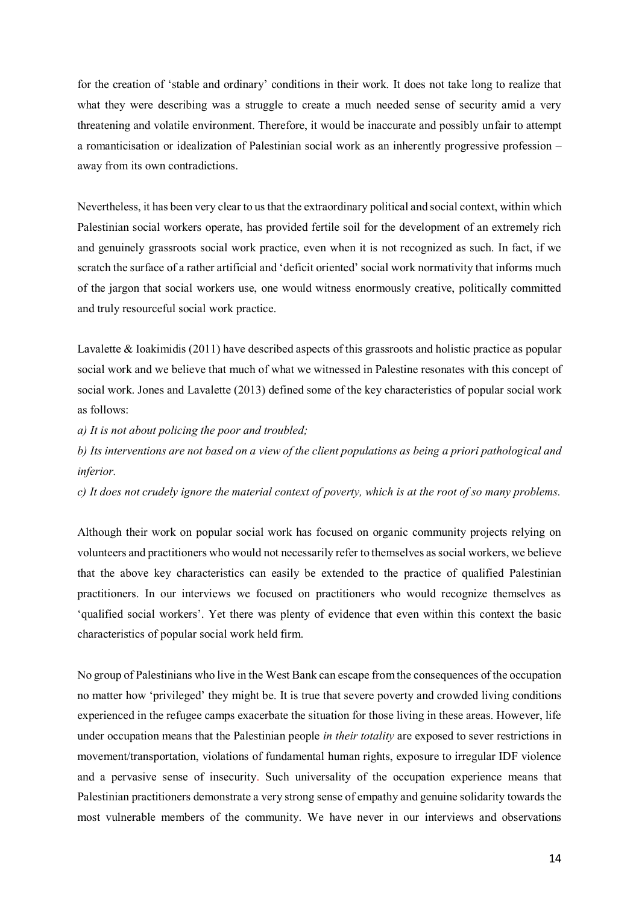for the creation of 'stable and ordinary' conditions in their work. It does not take long to realize that what they were describing was a struggle to create a much needed sense of security amid a very threatening and volatile environment. Therefore, it would be inaccurate and possibly unfair to attempt a romanticisation or idealization of Palestinian social work as an inherently progressive profession – away from its own contradictions.

Nevertheless, it has been very clear to us that the extraordinary political and social context, within which Palestinian social workers operate, has provided fertile soil for the development of an extremely rich and genuinely grassroots social work practice, even when it is not recognized as such. In fact, if we scratch the surface of a rather artificial and 'deficit oriented' social work normativity that informs much of the jargon that social workers use, one would witness enormously creative, politically committed and truly resourceful social work practice.

Lavalette & Ioakimidis (2011) have described aspects of this grassroots and holistic practice as popular social work and we believe that much of what we witnessed in Palestine resonates with this concept of social work. Jones and Lavalette (2013) defined some of the key characteristics of popular social work as follows:

*a) It is not about policing the poor and troubled;*

*b) Its interventions are not based on a view of the client populations as being a priori pathological and inferior.*

*c) It does not crudely ignore the material context of poverty, which is at the root of so many problems.*

Although their work on popular social work has focused on organic community projects relying on volunteers and practitioners who would not necessarily refer to themselves as social workers, we believe that the above key characteristics can easily be extended to the practice of qualified Palestinian practitioners. In our interviews we focused on practitioners who would recognize themselves as 'qualified social workers'. Yet there was plenty of evidence that even within this context the basic characteristics of popular social work held firm.

No group of Palestinians who live in the West Bank can escape from the consequences of the occupation no matter how 'privileged' they might be. It is true that severe poverty and crowded living conditions experienced in the refugee camps exacerbate the situation for those living in these areas. However, life under occupation means that the Palestinian people *in their totality* are exposed to sever restrictions in movement/transportation, violations of fundamental human rights, exposure to irregular IDF violence and a pervasive sense of insecurity. Such universality of the occupation experience means that Palestinian practitioners demonstrate a very strong sense of empathy and genuine solidarity towards the most vulnerable members of the community. We have never in our interviews and observations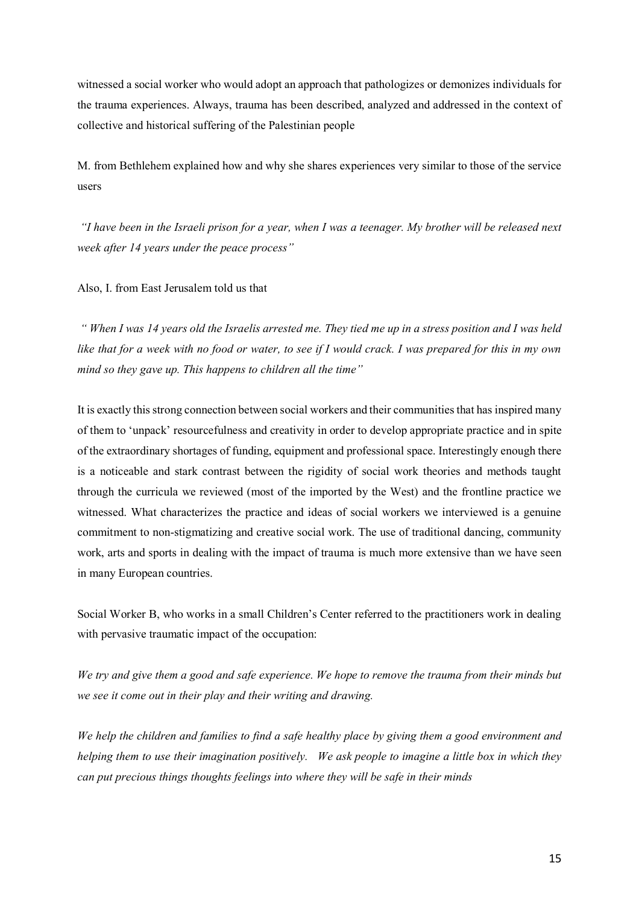witnessed a social worker who would adopt an approach that pathologizes or demonizes individuals for the trauma experiences. Always, trauma has been described, analyzed and addressed in the context of collective and historical suffering of the Palestinian people

M. from Bethlehem explained how and why she shares experiences very similar to those of the service users

*"I have been in the Israeli prison for a year, when I was a teenager. My brother will be released next week after 14 years under the peace process"* 

Also, I. from East Jerusalem told us that

*" When I was 14 years old the Israelis arrested me. They tied me up in a stress position and I was held like that for a week with no food or water, to see if I would crack. I was prepared for this in my own mind so they gave up. This happens to children all the time"*

It is exactly this strong connection between social workers and their communities that has inspired many of them to 'unpack' resourcefulness and creativity in order to develop appropriate practice and in spite of the extraordinary shortages of funding, equipment and professional space. Interestingly enough there is a noticeable and stark contrast between the rigidity of social work theories and methods taught through the curricula we reviewed (most of the imported by the West) and the frontline practice we witnessed. What characterizes the practice and ideas of social workers we interviewed is a genuine commitment to non-stigmatizing and creative social work. The use of traditional dancing, community work, arts and sports in dealing with the impact of trauma is much more extensive than we have seen in many European countries.

Social Worker B, who works in a small Children's Center referred to the practitioners work in dealing with pervasive traumatic impact of the occupation:

*We try and give them a good and safe experience. We hope to remove the trauma from their minds but we see it come out in their play and their writing and drawing.* 

*We help the children and families to find a safe healthy place by giving them a good environment and helping them to use their imagination positively. We ask people to imagine a little box in which they can put precious things thoughts feelings into where they will be safe in their minds*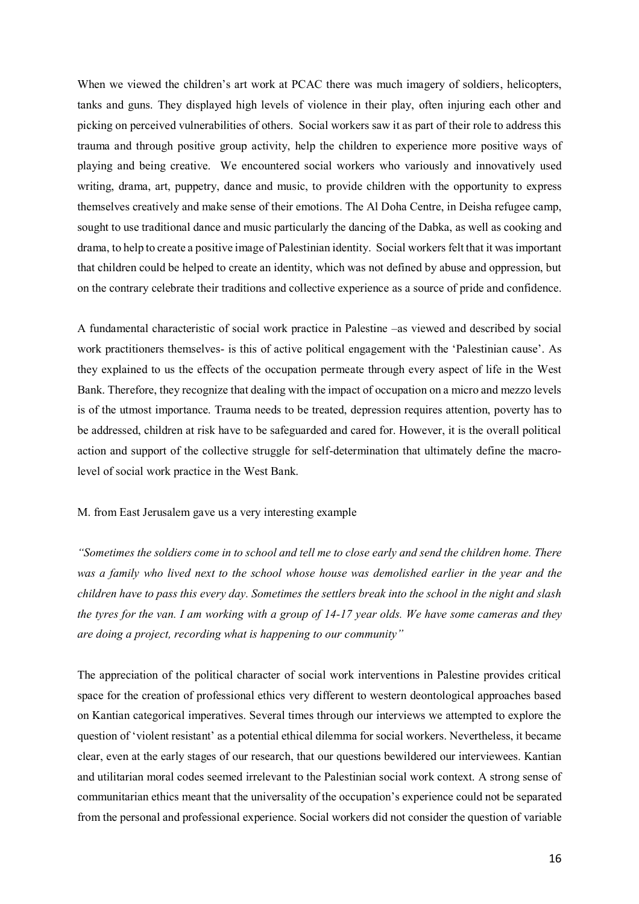When we viewed the children's art work at PCAC there was much imagery of soldiers, helicopters, tanks and guns. They displayed high levels of violence in their play, often injuring each other and picking on perceived vulnerabilities of others. Social workers saw it as part of their role to address this trauma and through positive group activity, help the children to experience more positive ways of playing and being creative. We encountered social workers who variously and innovatively used writing, drama, art, puppetry, dance and music, to provide children with the opportunity to express themselves creatively and make sense of their emotions. The Al Doha Centre, in Deisha refugee camp, sought to use traditional dance and music particularly the dancing of the Dabka, as well as cooking and drama, to help to create a positive image of Palestinian identity. Social workers felt that it was important that children could be helped to create an identity, which was not defined by abuse and oppression, but on the contrary celebrate their traditions and collective experience as a source of pride and confidence.

A fundamental characteristic of social work practice in Palestine –as viewed and described by social work practitioners themselves- is this of active political engagement with the 'Palestinian cause'. As they explained to us the effects of the occupation permeate through every aspect of life in the West Bank. Therefore, they recognize that dealing with the impact of occupation on a micro and mezzo levels is of the utmost importance. Trauma needs to be treated, depression requires attention, poverty has to be addressed, children at risk have to be safeguarded and cared for. However, it is the overall political action and support of the collective struggle for self-determination that ultimately define the macrolevel of social work practice in the West Bank.

M. from East Jerusalem gave us a very interesting example

*"Sometimes the soldiers come in to school and tell me to close early and send the children home. There was a family who lived next to the school whose house was demolished earlier in the year and the children have to pass this every day. Sometimes the settlers break into the school in the night and slash the tyres for the van. I am working with a group of 14-17 year olds. We have some cameras and they are doing a project, recording what is happening to our community"* 

The appreciation of the political character of social work interventions in Palestine provides critical space for the creation of professional ethics very different to western deontological approaches based on Kantian categorical imperatives. Several times through our interviews we attempted to explore the question of 'violent resistant' as a potential ethical dilemma for social workers. Nevertheless, it became clear, even at the early stages of our research, that our questions bewildered our interviewees. Kantian and utilitarian moral codes seemed irrelevant to the Palestinian social work context. A strong sense of communitarian ethics meant that the universality of the occupation's experience could not be separated from the personal and professional experience. Social workers did not consider the question of variable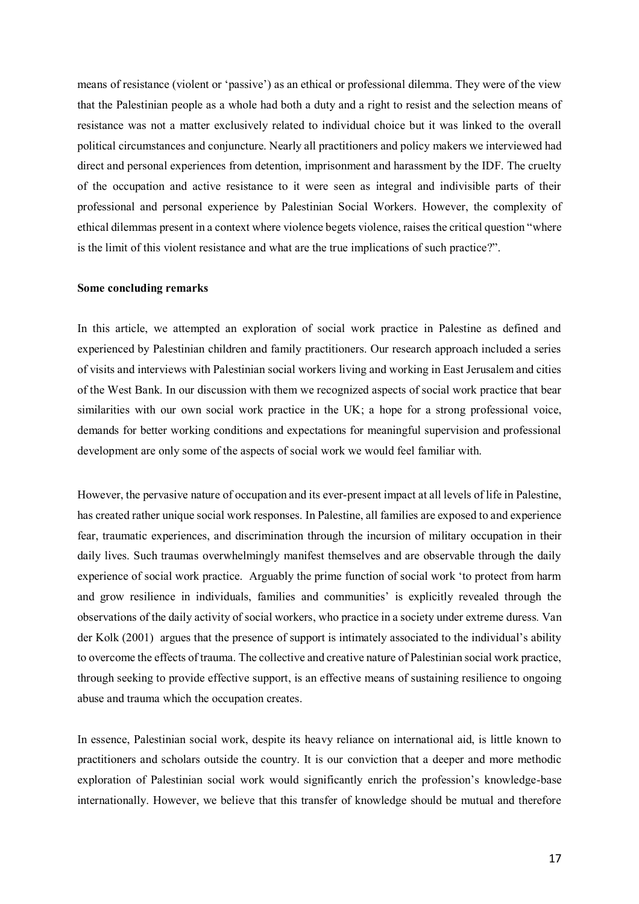means of resistance (violent or 'passive') as an ethical or professional dilemma. They were of the view that the Palestinian people as a whole had both a duty and a right to resist and the selection means of resistance was not a matter exclusively related to individual choice but it was linked to the overall political circumstances and conjuncture. Nearly all practitioners and policy makers we interviewed had direct and personal experiences from detention, imprisonment and harassment by the IDF. The cruelty of the occupation and active resistance to it were seen as integral and indivisible parts of their professional and personal experience by Palestinian Social Workers. However, the complexity of ethical dilemmas present in a context where violence begets violence, raises the critical question "where is the limit of this violent resistance and what are the true implications of such practice?".

#### Some concluding remarks

In this article, we attempted an exploration of social work practice in Palestine as defined and experienced by Palestinian children and family practitioners. Our research approach included a series of visits and interviews with Palestinian social workers living and working in East Jerusalem and cities of the West Bank. In our discussion with them we recognized aspects of social work practice that bear similarities with our own social work practice in the UK; a hope for a strong professional voice, demands for better working conditions and expectations for meaningful supervision and professional development are only some of the aspects of social work we would feel familiar with.

However, the pervasive nature of occupation and its ever-present impact at all levels of life in Palestine, has created rather unique social work responses. In Palestine, all families are exposed to and experience fear, traumatic experiences, and discrimination through the incursion of military occupation in their daily lives. Such traumas overwhelmingly manifest themselves and are observable through the daily experience of social work practice. Arguably the prime function of social work 'to protect from harm and grow resilience in individuals, families and communities' is explicitly revealed through the observations of the daily activity of social workers, who practice in a society under extreme duress*.* Van der Kolk (2001) argues that the presence of support is intimately associated to the individual's ability to overcome the effects of trauma. The collective and creative nature of Palestinian social work practice, through seeking to provide effective support, is an effective means of sustaining resilience to ongoing abuse and trauma which the occupation creates.

In essence, Palestinian social work, despite its heavy reliance on international aid, is little known to practitioners and scholars outside the country. It is our conviction that a deeper and more methodic exploration of Palestinian social work would significantly enrich the profession's knowledge-base internationally. However, we believe that this transfer of knowledge should be mutual and therefore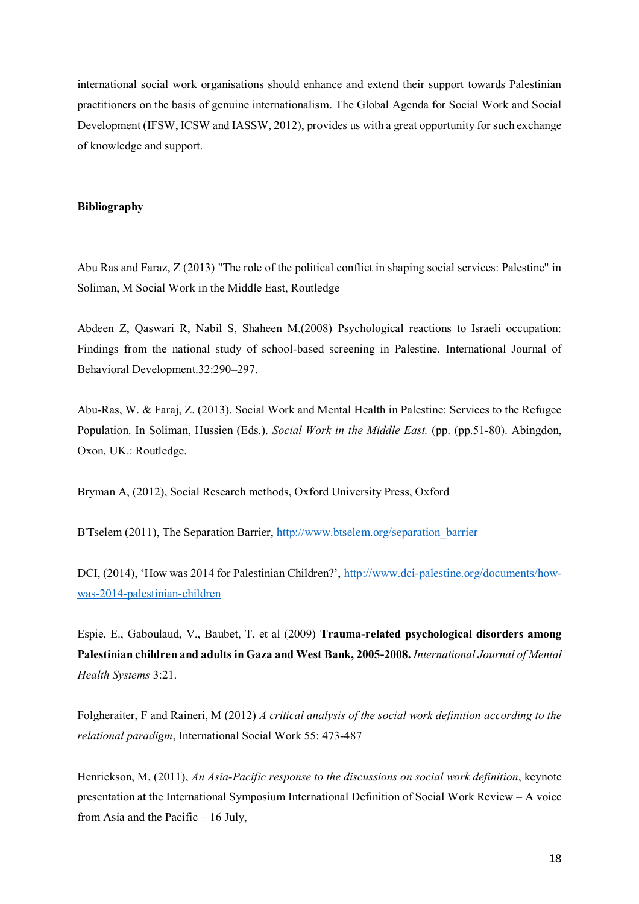international social work organisations should enhance and extend their support towards Palestinian practitioners on the basis of genuine internationalism. The Global Agenda for Social Work and Social Development (IFSW, ICSW and IASSW, 2012), provides us with a great opportunity for such exchange of knowledge and support.

# Bibliography

Abu Ras and Faraz, Z (2013) "The role of the political conflict in shaping social services: Palestine" in Soliman, M Social Work in the Middle East, Routledge

Abdeen Z, Qaswari R, Nabil S, Shaheen M.(2008) Psychological reactions to Israeli occupation: Findings from the national study of school-based screening in Palestine. International Journal of Behavioral Development.32:290–297.

Abu-Ras, W. & Faraj, Z. (2013). Social Work and Mental Health in Palestine: Services to the Refugee Population. In Soliman, Hussien (Eds.). *Social Work in the Middle East.* (pp. (pp.51-80). Abingdon, Oxon, UK.: Routledge.

Bryman A, (2012), Social Research methods, Oxford University Press, Oxford

B'Tselem (2011), The Separation Barrier, [http://www.btselem.org/separation\\_barrier](http://www.btselem.org/separation_barrier)

DCI, (2014), 'How was 2014 for Palestinian Children?', [http://www.dci-palestine.org/documents/how](http://www.dci-palestine.org/documents/how-was-2014-palestinian-children)[was-2014-palestinian-children](http://www.dci-palestine.org/documents/how-was-2014-palestinian-children)

Espie, E., Gaboulaud, V., Baubet, T. et al (2009) Trauma-related psychological disorders among Palestinian children and adults in Gaza and West Bank, 2005-2008. *International Journal of Mental Health Systems* 3:21.

Folgheraiter, F and Raineri, M (2012) *A critical analysis of the social work definition according to the relational paradigm*, International Social Work 55: 473-487

Henrickson, M, (2011), *An Asia-Pacific response to the discussions on social work definition*, keynote presentation at the International Symposium International Definition of Social Work Review – A voice from Asia and the Pacific – 16 July,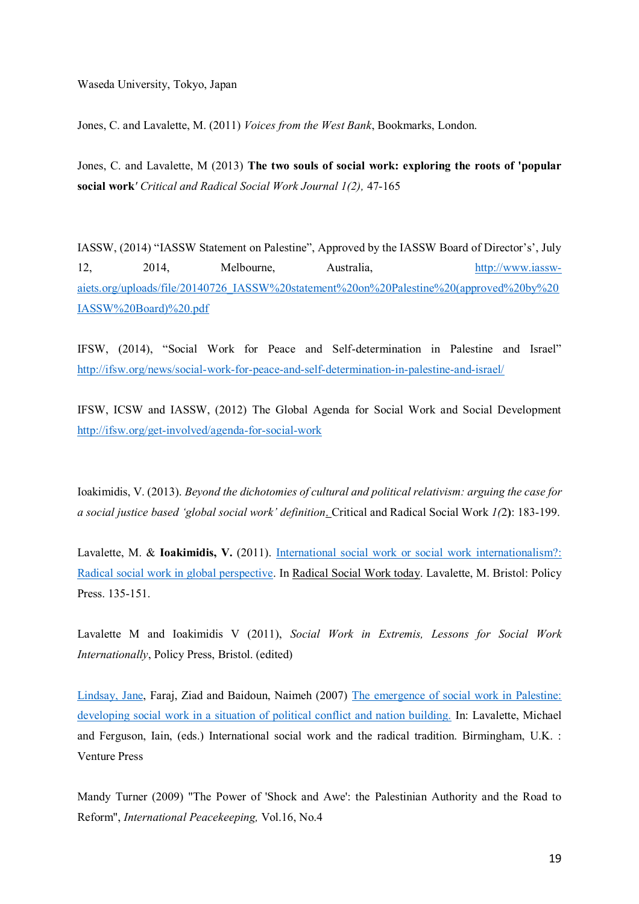Waseda University, Tokyo, Japan

Jones, C. and Lavalette, M. (2011) *Voices from the West Bank*, Bookmarks, London.

Jones, C. and Lavalette, M (2013) The two souls of social work: exploring the roots of 'popular social work*' Critical and Radical Social Work Journal 1(2),* 47-165

IASSW, (2014) "IASSW Statement on Palestine", Approved by the IASSW Board of Director's', July 12, 2014, Melbourne, Australia, [http://www.iassw](http://www.iassw-aiets.org/uploads/file/20140726_IASSW%20statement%20on%20Palestine%20(approved%20by%20IASSW%20Board)%20.pdf)[aiets.org/uploads/file/20140726\\_IASSW%20statement%20on%20Palestine%20\(approved%20by%20](http://www.iassw-aiets.org/uploads/file/20140726_IASSW%20statement%20on%20Palestine%20(approved%20by%20IASSW%20Board)%20.pdf) [IASSW%20Board\)%20.pdf](http://www.iassw-aiets.org/uploads/file/20140726_IASSW%20statement%20on%20Palestine%20(approved%20by%20IASSW%20Board)%20.pdf)

IFSW, (2014), "Social Work for Peace and Self-determination in Palestine and Israel" <http://ifsw.org/news/social-work-for-peace-and-self-determination-in-palestine-and-israel/>

IFSW, ICSW and IASSW, (2012) The Global Agenda for Social Work and Social Development <http://ifsw.org/get-involved/agenda-for-social-work>

Ioakimidis, V. (2013). *Beyond the dichotomies of cultural and political relativism: arguing the case for a social justice based 'global social work' definition*. Critical and Radical Social Work *1(*2): 183-199.

Lavalette, M. & **Ioakimidis, V.** (2011). International social work or social work internationalism?: [Radical social work in global perspective.](https://www.dur.ac.uk/sass/staff/profile/?mode=pdetail&id=10576&sid=10576&pdetail=79140) In Radical Social Work today. Lavalette, M. Bristol: Policy Press. 135-151.

Lavalette M and Ioakimidis V (2011), *Social Work in Extremis, Lessons for Social Work Internationally*, Policy Press, Bristol. (edited)

[Lindsay, Jane,](http://eprints.kingston.ac.uk/view/creators/3283.html) Faraj, Ziad and Baidoun, Naimeh (2007) [The emergence of social work in Palestine:](http://eprints.kingston.ac.uk/15398/)  developing social [work in a situation of political conflict and nation building.](http://eprints.kingston.ac.uk/15398/) In: Lavalette, Michael and Ferguson, Iain, (eds.) International social work and the radical tradition. Birmingham, U.K. : Venture Press

Mandy Turner (2009) "The Power of 'Shock and Awe': the Palestinian Authority and the Road to Reform", *International Peacekeeping,* Vol.16, No.4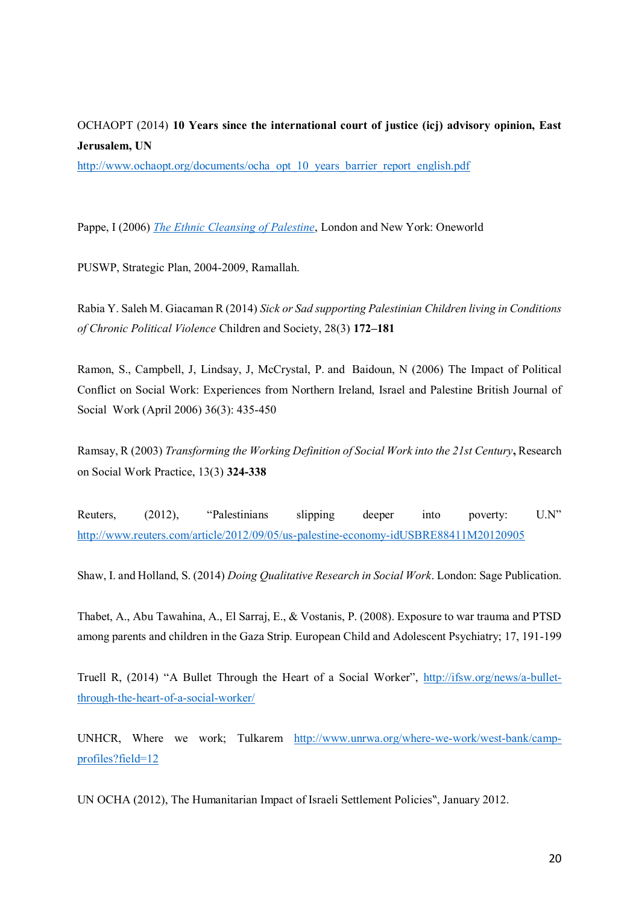OCHAOPT (2014) 10 Years since the international court of justice (icj) advisory opinion, East Jerusalem, UN

[http://www.ochaopt.org/documents/ocha\\_opt\\_10\\_years\\_barrier\\_report\\_english.pdf](http://www.ochaopt.org/documents/ocha_opt_10_years_barrier_report_english.pdf)

Pappe, I (2006) *[The Ethnic Cleansing of Palestine](http://en.wikipedia.org/wiki/The_Ethnic_Cleansing_of_Palestine)*, London and New York: Oneworld

PUSWP, Strategic Plan, 2004-2009, Ramallah.

Rabia Y. Saleh M. Giacaman R (2014) *Sick or Sad supporting Palestinian Children living in Conditions of Chronic Political Violence* Children and Society, 28(3) 172–181

Ramon, S., Campbell, J, Lindsay, J, McCrystal, P. and Baidoun, N (2006) The Impact of Political Conflict on Social Work: Experiences from Northern Ireland, Israel and Palestine British Journal of Social Work (April 2006) 36(3): 435-450

Ramsay, R (2003) *Transforming the Working Definition of Social Work into the 21st Century*, Research on Social Work Practice, 13(3) 324-338

Reuters, (2012), "Palestinians slipping deeper into poverty: U.N" <http://www.reuters.com/article/2012/09/05/us-palestine-economy-idUSBRE88411M20120905>

Shaw, I. and Holland, S. (2014) *Doing Qualitative Research in Social Work*. London: Sage Publication.

Thabet, A., Abu Tawahina, A., El Sarraj, E., & Vostanis, P. (2008). Exposure to war trauma and PTSD among parents and children in the Gaza Strip. European Child and Adolescent Psychiatry; 17, 191-199

Truell R, (2014) "A Bullet Through the Heart of a Social Worker", [http://ifsw.org/news/a-bullet](http://ifsw.org/news/a-bullet-through-the-heart-of-a-social-worker/)[through-the-heart-of-a-social-worker/](http://ifsw.org/news/a-bullet-through-the-heart-of-a-social-worker/)

UNHCR, Where we work; Tulkarem [http://www.unrwa.org/where-we-work/west-bank/camp](http://www.unrwa.org/where-we-work/west-bank/camp-profiles?field=12)[profiles?field=12](http://www.unrwa.org/where-we-work/west-bank/camp-profiles?field=12)

UN OCHA (2012), The Humanitarian Impact of Israeli Settlement Policies", January 2012.